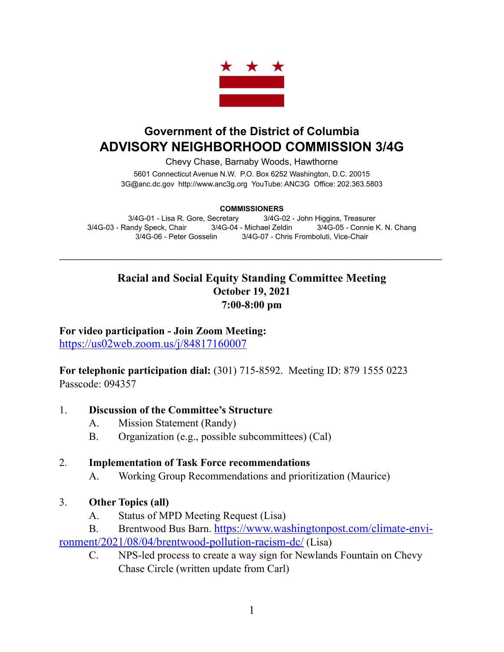

# **Government of the District of Columbia ADVISORY NEIGHBORHOOD COMMISSION 3/4G**

Chevy Chase, Barnaby Woods, Hawthorne

5601 Connecticut Avenue N.W. P.O. Box 6252 Washington, D.C. 20015 3G@anc.dc.gov <http://www.anc3g.org>YouTube: ANC3G Office: 202.363.5803

#### **COMMISSIONERS**

3/4G-01 - Lisa R. Gore, Secretary 3/4G-02 - John Higgins, Treasurer 3/4G-03 - Randy Speck, Chair 3/4G-04 - Michael Zeldin 3/4G-05 - Connie K. N. Chang 3/4G-06 - Peter Gosselin 3/4G-07 - Chris Fromboluti, Vice-Chair

\_\_\_\_\_\_\_\_\_\_\_\_\_\_\_\_\_\_\_\_\_\_\_\_\_\_\_\_\_\_\_\_\_\_\_\_\_\_\_\_\_\_\_\_\_\_\_\_\_\_\_\_\_\_\_\_\_\_\_\_\_\_\_\_\_\_\_\_\_\_\_\_\_\_\_\_

## **Racial and Social Equity Standing Committee Meeting October 19, 2021 7:00-8:00 pm**

**For video participation - Join Zoom Meeting:**

<https://us02web.zoom.us/j/84817160007>

**For telephonic participation dial:** (301) 715-8592. Meeting ID: 879 1555 0223 Passcode: 094357

#### 1. **Discussion of the Committee's Structure**

- A. Mission Statement (Randy)
- B. Organization (e.g., possible subcommittees) (Cal)

#### 2. **Implementation of Task Force recommendations**

A. Working Group Recommendations and prioritization (Maurice)

#### 3. **Other Topics (all)**

- A. Status of MPD Meeting Request (Lisa)
- B. Brentwood Bus Barn. [https://www.washingtonpost.com/climate-envi](https://www.washingtonpost.com/climate-environment/2021/08/04/brentwood-pollution-racism-dc/)[ronment/2021/08/04/brentwood-pollution-racism-dc/ \(Lisa\)](https://www.washingtonpost.com/climate-environment/2021/08/04/brentwood-pollution-racism-dc/)
	- C. NPS-led process to create a way sign for Newlands Fountain on Chevy Chase Circle (written update from Carl)